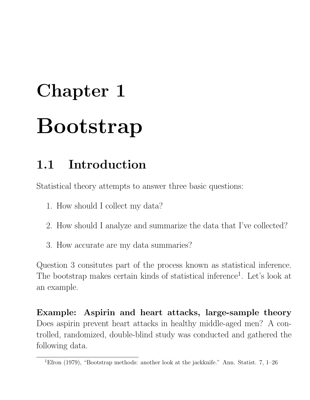# Chapter 1 Bootstrap

# 1.1 Introduction

Statistical theory attempts to answer three basic questions:

- 1. How should I collect my data?
- 2. How should I analyze and summarize the data that I've collected?
- 3. How accurate are my data summaries?

Question 3 consitutes part of the process known as statistical inference. The bootstrap makes certain kinds of statistical inference<sup>1</sup>. Let's look at an example.

Example: Aspirin and heart attacks, large-sample theory Does aspirin prevent heart attacks in healthy middle-aged men? A controlled, randomized, double-blind study was conducted and gathered the following data.

<sup>&</sup>lt;sup>1</sup>Efron (1979), "Bootstrap methods: another look at the jackknife." Ann. Statist. 7, 1–26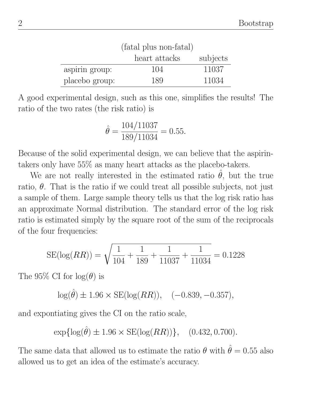|                | (fatal plus non-fatal) |          |  |  |
|----------------|------------------------|----------|--|--|
|                | heart attacks          | subjects |  |  |
| aspirin group: | 104                    | 11037    |  |  |
| placebo group: | 189                    | 11034    |  |  |

A good experimental design, such as this one, simplifies the results! The ratio of the two rates (the risk ratio) is

$$
\hat{\theta} = \frac{104/11037}{189/11034} = 0.55.
$$

Because of the solid experimental design, we can believe that the aspirintakers only have 55% as many heart attacks as the placebo-takers.

We are not really interested in the estimated ratio  $\hat{\theta}$ , but the true ratio,  $\theta$ . That is the ratio if we could treat all possible subjects, not just a sample of them. Large sample theory tells us that the log risk ratio has an approximate Normal distribution. The standard error of the log risk ratio is estimated simply by the square root of the sum of the reciprocals of the four frequencies:

$$
SE(\log(RR)) = \sqrt{\frac{1}{104} + \frac{1}{189} + \frac{1}{11037} + \frac{1}{11034}} = 0.1228
$$

The 95% CI for  $log(\theta)$  is

 $log(\hat{\theta}) \pm 1.96 \times SE(log(RR)), \quad (-0.839, -0.357),$ 

and expontiating gives the CI on the ratio scale,

$$
\exp\{\log(\hat{\theta}) \pm 1.96 \times \text{SE}(\log(RR))\}, \quad (0.432, 0.700).
$$

The same data that allowed us to estimate the ratio  $\theta$  with  $\hat{\theta} = 0.55$  also allowed us to get an idea of the estimate's accuracy.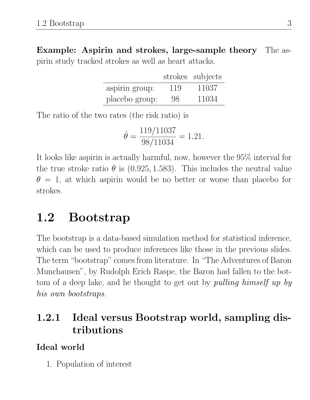Example: Aspirin and strokes, large-sample theory The aspirin study tracked strokes as well as heart attacks.

|                |     | strokes subjects |
|----------------|-----|------------------|
| aspirin group: | 119 | 11037            |
| placebo group: | 98  | 11034            |

The ratio of the two rates (the risk ratio) is

$$
\hat{\theta} = \frac{119/11037}{98/11034} = 1.21.
$$

It looks like aspirin is actually harmful, now, however the 95% interval for the true stroke ratio  $\theta$  is (0.925, 1.583). This includes the neutral value  $\theta = 1$ , at which aspirin would be no better or worse than placebo for strokes.

# 1.2 Bootstrap

The bootstrap is a data-based simulation method for statistical inference, which can be used to produce inferences like those in the previous slides. The term "bootstrap" comes from literature. In "The Adventures of Baron Munchausen", by Rudolph Erich Raspe, the Baron had fallen to the bottom of a deep lake, and he thought to get out by *pulling himself up by* his own bootstraps.

## 1.2.1 Ideal versus Bootstrap world, sampling distributions

#### Ideal world

1. Population of interest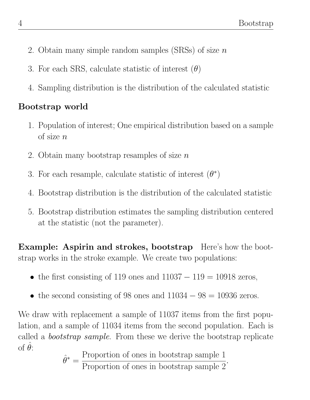- 2. Obtain many simple random samples (SRSs) of size  $n$
- 3. For each SRS, calculate statistic of interest  $(\theta)$
- 4. Sampling distribution is the distribution of the calculated statistic

### Bootstrap world

- 1. Population of interest; One empirical distribution based on a sample of size  $n$
- 2. Obtain many bootstrap resamples of size  $n$
- 3. For each resample, calculate statistic of interest  $(\theta^*)$
- 4. Bootstrap distribution is the distribution of the calculated statistic
- 5. Bootstrap distribution estimates the sampling distribution centered at the statistic (not the parameter).

Example: Aspirin and strokes, bootstrap Here's how the bootstrap works in the stroke example. We create two populations:

- the first consisting of 119 ones and  $11037 119 = 10918$  zeros,
- the second consisting of 98 ones and  $11034 98 = 10936$  zeros.

We draw with replacement a sample of 11037 items from the first population, and a sample of 11034 items from the second population. Each is called a bootstrap sample. From these we derive the bootstrap replicate of  $\hat{\theta}$ :

$$
\hat{\theta}^* = \frac{\text{Proportion of ones in bootstrap sample 1}}{\text{Proportion of ones in bootstrap sample 2}}.
$$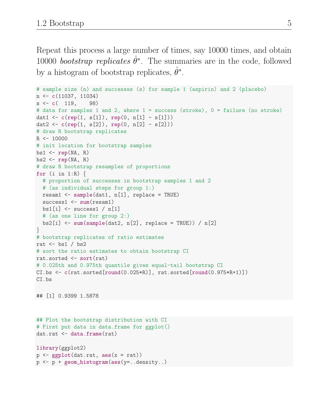Repeat this process a large number of times, say 10000 times, and obtain 10000 bootstrap replicates  $\hat{\theta}^*$ . The summaries are in the code, followed by a histogram of bootstrap replicates,  $\hat{\theta}^*$ .

```
# sample size (n) and successes (s) for sample 1 (aspirin) and 2 (placebo)
n <- c(11037, 11034)
s \leq c(119, 98)# data for samples 1 and 2, where 1 = success (stroke), 0 = failure (no stroke)
dat1 <- c(rep(1, s[1]), rep(0, n[1] - s[1]))
dat2 <- c(rep(1, s[2]), rep(0, n[2] - s[2]))
# draw R bootstrap replicates
R <- 10000
# init location for bootstrap samples
bs1 \leftarrow rep(NA, R)bs2 \leftarrow rep(NA, R)# draw R bootstrap resamples of proportions
for (i in 1:R) \{# proportion of successes in bootstrap samples 1 and 2
  # (as individual steps for group 1:)
  resam1 \leq - sample(data1, n[1], replace = TRUE)success1 <- sum(resam1)
  bs1[i] <- success1 / n[1]# (as one line for group 2:)
  bs2[i] \leq sum(sample(dat2, n[2], replace = TRUE)) / n[2]
}
# bootstrap replicates of ratio estimates
rat \leftarrow bs1 / bs2
# sort the ratio estimates to obtain bootstrap CI
rat.sorted <- sort(rat)
# 0.025th and 0.975th quantile gives equal-tail bootstrap CI
CI.bs \leq c(rat.sorted[round(0.025*R)], rat.sorted[round(0.975*R+1)])
CI.bs
## [1] 0.9399 1.5878
## Plot the bootstrap distribution with CI
# First put data in data.frame for ggplot()
```

```
library(ggplot2)
p \leftarrow \text{gplot}(dat.rat, aes(x = rat))p <- p + geom_histogram(aes(y=..density..)
```
dat.rat <- data.frame(rat)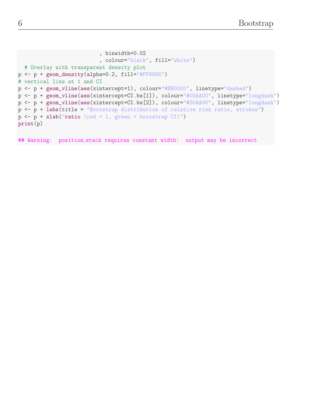```
, binwidth=0.02
                           , colour="black", fill="white")
  # Overlay with transparent density plot
p <- p + geom_density(alpha=0.2, fill="#FF6666")
# vertical line at 1 and CI
p <- p + geom_vline(aes(xintercept=1), colour="#BB0000", linetype="dashed")
p <- p + geom_vline(aes(xintercept=CI.bs[1]), colour="#00AA00", linetype="longdash")
p <- p + geom_vline(aes(xintercept=CI.bs[2]), colour="#00AA00", linetype="longdash")
p <- p + labs(title = "Bootstrap distribution of relative risk ratio, strokes")
p \leftarrow p + x \cdot \text{lab("ratio (red = 1, green = bootstrap CI)}")print(p)
```
## Warning: position\_stack requires constant width: output may be incorrect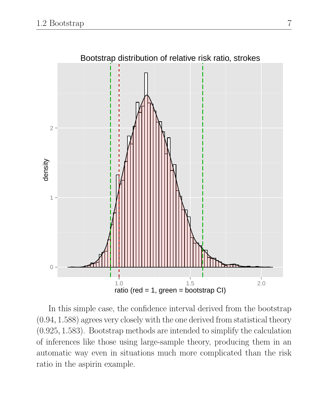

In this simple case, the confidence interval derived from the bootstrap (0.94, 1.588) agrees very closely with the one derived from statistical theory (0.925, 1.583). Bootstrap methods are intended to simplify the calculation of inferences like those using large-sample theory, producing them in an automatic way even in situations much more complicated than the risk ratio in the aspirin example.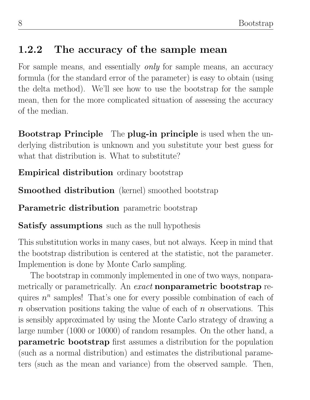## 1.2.2 The accuracy of the sample mean

For sample means, and essentially *only* for sample means, an accuracy formula (for the standard error of the parameter) is easy to obtain (using the delta method). We'll see how to use the bootstrap for the sample mean, then for the more complicated situation of assessing the accuracy of the median.

Bootstrap Principle The plug-in principle is used when the underlying distribution is unknown and you substitute your best guess for what that distribution is. What to substitute?

Empirical distribution ordinary bootstrap

Smoothed distribution (kernel) smoothed bootstrap

Parametric distribution parametric bootstrap

Satisfy assumptions such as the null hypothesis

This substitution works in many cases, but not always. Keep in mind that the bootstrap distribution is centered at the statistic, not the parameter. Implemention is done by Monte Carlo sampling.

The bootstrap in commonly implemented in one of two ways, nonparametrically or parametrically. An *exact* nonparametric bootstrap requires  $n^n$  samples! That's one for every possible combination of each of n observation positions taking the value of each of  $n$  observations. This is sensibly approximated by using the Monte Carlo strategy of drawing a large number (1000 or 10000) of random resamples. On the other hand, a parametric bootstrap first assumes a distribution for the population (such as a normal distribution) and estimates the distributional parameters (such as the mean and variance) from the observed sample. Then,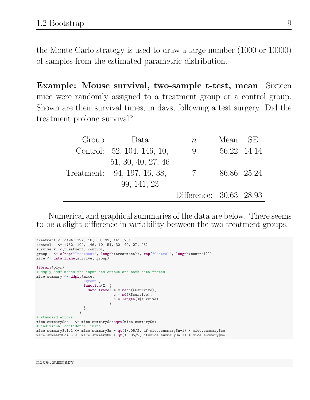the Monte Carlo strategy is used to draw a large number (1000 or 10000) of samples from the estimated parametric distribution.

Example: Mouse survival, two-sample t-test, mean Sixteen mice were randomly assigned to a treatment group or a control group. Shown are their survival times, in days, following a test surgery. Did the treatment prolong survival?

| Group | Data                        | $n_{\rm}$               | Mean SE |             |
|-------|-----------------------------|-------------------------|---------|-------------|
|       | Control: 52, 104, 146, 10,  | 9                       |         | 56.22 14.14 |
|       | 51, 30, 40, 27, 46          |                         |         |             |
|       | Treatment: 94, 197, 16, 38, | $7\overline{7}$         |         | 86.86 25.24 |
|       | 99, 141, 23                 |                         |         |             |
|       |                             | Difference: 30.63 28.93 |         |             |

Numerical and graphical summaries of the data are below. There seems to be a slight difference in variability between the two treatment groups.

```
treatment <- c(94, 197, 16, 38, 99, 141, 23)
control <- c(52, 104, 146, 10, 51, 30, 40, 27, 46)
survive \leftarrow c(treatment, control)
group <- c(rep("Treatment", length(treatment)), rep("Control", length(control)))
mice <- data.frame(survive, group)
library(plyr)
# ddply "dd" means the input and output are both data.frames
mice.summary <- ddply(mice,
                       "group",
                      function(X) {
                       data.frame(m = mean(X$survive),
                                   s = sd(X$survive),
                                   n = length(X$survive)
                                  )
                      }
                    )
# standard errors
mice.summary$se <- mice.summary$s/sqrt(mice.summary$n)
# individual confidence limits
mice.summary$ci.l <- mice.summary$m - qt(1-.05/2, df=mice.summary$n-1) * mice.summary$se
mice.summary$ci.u <- mice.summary$m + qt(1-.05/2, df=mice.summary$n-1) * mice.summary$se
```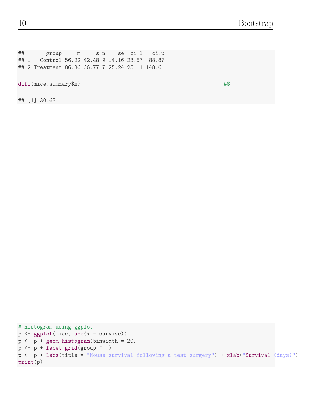## group m s n se ci.l ci.u ## 1 Control 56.22 42.48 9 14.16 23.57 88.87 ## 2 Treatment 86.86 66.77 7 25.24 25.11 148.61

diff(mice.summary\$m) #\$

## [1] 30.63

```
# histogram using ggplot
p <- ggplot(mice, aes(x = survive))
p <- p + geom_histogram(binwidth = 20)
p \leftarrow p + \text{facet\_grid}(\text{group} \sim .)p <- p + labs(title = "Mouse survival following a test surgery") + xlab("Survival (days)")
print(p)
```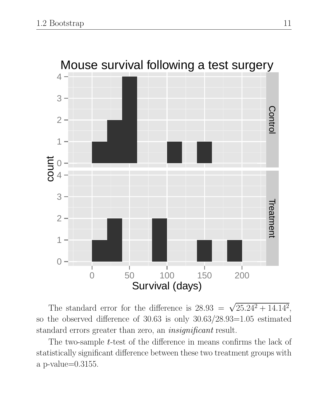

The standard error for the difference is  $28.93 = \sqrt{25.24^2 + 14.14^2}$ , so the observed difference of 30.63 is only 30.63/28.93=1.05 estimated standard errors greater than zero, an *insignificant* result.

The two-sample *t*-test of the difference in means confirms the lack of statistically significant difference between these two treatment groups with a p-value=0.3155.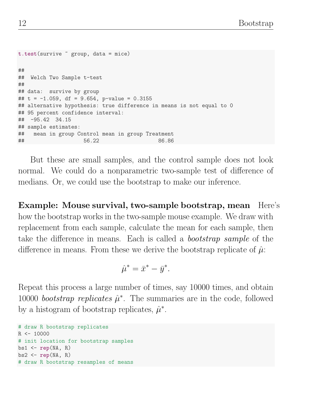```
t.test(survive ~ group, data = mice)
##
## Welch Two Sample t-test
##
## data: survive by group
## t = -1.059, df = 9.654, p-value = 0.3155
## alternative hypothesis: true difference in means is not equal to 0
## 95 percent confidence interval:
## -95.42 34.15
## sample estimates:
## mean in group Control mean in group Treatment
## 56.22 86.86
```
But these are small samples, and the control sample does not look normal. We could do a nonparametric two-sample test of difference of medians. Or, we could use the bootstrap to make our inference.

Example: Mouse survival, two-sample bootstrap, mean Here's how the bootstrap works in the two-sample mouse example. We draw with replacement from each sample, calculate the mean for each sample, then take the difference in means. Each is called a bootstrap sample of the difference in means. From these we derive the bootstrap replicate of  $\hat{\mu}$ :

$$
\hat{\mu}^* = \bar{x}^* - \bar{y}^*.
$$

Repeat this process a large number of times, say 10000 times, and obtain 10000 bootstrap replicates  $\hat{\mu}^*$ . The summaries are in the code, followed by a histogram of bootstrap replicates,  $\hat{\mu}^*$ .

```
# draw R bootstrap replicates
R <- 10000
# init location for bootstrap samples
bs1 \leftarrow rep(NA, R)bs2 \leftarrow rep(NA, R)# draw R bootstrap resamples of means
```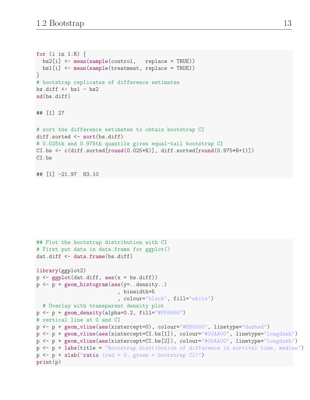```
for (i in 1:R) \{bs2[i] <- mean(sample(control, replace = TRUE))
  bs1[i] <- mean(sample(treatment, replace = TRUE))
}
# bootstrap replicates of difference estimates
bs.diff \leftarrow bs1 - bs2sd(bs.diff)
## [1] 27
# sort the difference estimates to obtain bootstrap CI
diff.sorted <- sort(bs.diff)
# 0.025th and 0.975th quantile gives equal-tail bootstrap CI
CI.bs \leq c(diff.sorted[round(0.025*R)], diff.sorted[round(0.975*R+1)])
CI.bs
## [1] -21.97 83.10
```

```
## Plot the bootstrap distribution with CI
# First put data in data.frame for ggplot()
dat.diff <- data.frame(bs.diff)
library(ggplot2)
p \leftarrow ggplot(dat.diff, aes(x = bs.diff))
p <- p + geom_histogram(aes(y=..density..)
                            , binwidth=5
                            , colour="black", fill="white")
  # Overlay with transparent density plot
p \leftarrow p + \text{geom\_density}(\text{alpha=0.2, fill=}"#FF6666")
# vertical line at 0 and CI
p <- p + geom_vline(aes(xintercept=0), colour="#BB0000", linetype="dashed")
p <- p + geom_vline(aes(xintercept=CI.bs[1]), colour="#00AA00", linetype="longdash")
p <- p + geom_vline(aes(xintercept=CI.bs[2]), colour="#00AA00", linetype="longdash")
p <- p + labs(title = "Bootstrap distribution of difference in survival time, median")
p \leftarrow p + \text{xlab("ratio (red = 0, green = bootstrap CI)"})print(p)
```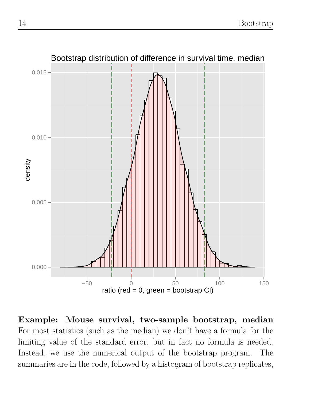

Example: Mouse survival, two-sample bootstrap, median For most statistics (such as the median) we don't have a formula for the limiting value of the standard error, but in fact no formula is needed. Instead, we use the numerical output of the bootstrap program. The summaries are in the code, followed by a histogram of bootstrap replicates,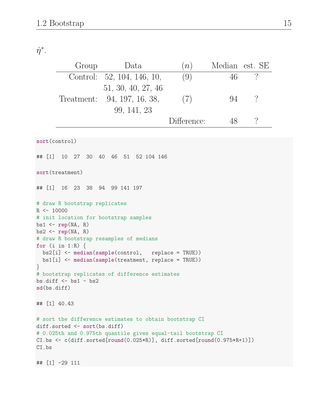### $\hat{\eta}^*$ .

| $\gamma$<br>(9)<br>Control: 52, 104, 146, 10,<br>46<br>51, 30, 40, 27, 46<br>$\overline{\mathcal{C}}$<br>(7)<br>Treatment: 94, 197, 16, 38,<br>94<br>99, 141, 23<br>$\overline{\mathcal{L}}$<br>Difference:<br>48<br>sort(control)<br>## $[1]$<br>10 27 30 40 46 51 52 104 146<br>sort(treatment)<br>16 23 38 94 99 141 197<br>## [1]<br># draw R bootstrap replicates<br>$R \leftarrow 10000$<br># init location for bootstrap samples<br>$bs1 \leftarrow rep(NA, R)$<br>$bs2 \leftarrow rep(NA, R)$<br># draw R bootstrap resamples of medians<br>for $(i \text{ in } 1:R)$ {<br>$bs2[i]$ <- median(sample(control, replace = TRUE))<br>$bs1[i]$ <- median(sample(treatment, replace = TRUE))<br>$\}$<br># bootstrap replicates of difference estimates<br>$bs.diff \leftarrow bs1 - bs2$<br>sd(bs.diff)<br>## [1] 40.43<br># sort the difference estimates to obtain bootstrap CI<br>$diff.sorted \leftarrow sort(bs.diff)$<br># 0.025th and 0.975th quantile gives equal-tail bootstrap CI<br>$CI.bs \leftarrow c(diff.sorted[round(0.025 * R)], diff.sorted[round(0.975 * R + 1)])$<br>CI.bs | Group | Data | (n) |  | Median est. SE |  |  |  |
|---------------------------------------------------------------------------------------------------------------------------------------------------------------------------------------------------------------------------------------------------------------------------------------------------------------------------------------------------------------------------------------------------------------------------------------------------------------------------------------------------------------------------------------------------------------------------------------------------------------------------------------------------------------------------------------------------------------------------------------------------------------------------------------------------------------------------------------------------------------------------------------------------------------------------------------------------------------------------------------------------------------------------------------------------------------------------------------------------|-------|------|-----|--|----------------|--|--|--|
|                                                                                                                                                                                                                                                                                                                                                                                                                                                                                                                                                                                                                                                                                                                                                                                                                                                                                                                                                                                                                                                                                                   |       |      |     |  |                |  |  |  |
|                                                                                                                                                                                                                                                                                                                                                                                                                                                                                                                                                                                                                                                                                                                                                                                                                                                                                                                                                                                                                                                                                                   |       |      |     |  |                |  |  |  |
|                                                                                                                                                                                                                                                                                                                                                                                                                                                                                                                                                                                                                                                                                                                                                                                                                                                                                                                                                                                                                                                                                                   |       |      |     |  |                |  |  |  |
|                                                                                                                                                                                                                                                                                                                                                                                                                                                                                                                                                                                                                                                                                                                                                                                                                                                                                                                                                                                                                                                                                                   |       |      |     |  |                |  |  |  |
|                                                                                                                                                                                                                                                                                                                                                                                                                                                                                                                                                                                                                                                                                                                                                                                                                                                                                                                                                                                                                                                                                                   |       |      |     |  |                |  |  |  |
|                                                                                                                                                                                                                                                                                                                                                                                                                                                                                                                                                                                                                                                                                                                                                                                                                                                                                                                                                                                                                                                                                                   |       |      |     |  |                |  |  |  |
|                                                                                                                                                                                                                                                                                                                                                                                                                                                                                                                                                                                                                                                                                                                                                                                                                                                                                                                                                                                                                                                                                                   |       |      |     |  |                |  |  |  |
|                                                                                                                                                                                                                                                                                                                                                                                                                                                                                                                                                                                                                                                                                                                                                                                                                                                                                                                                                                                                                                                                                                   |       |      |     |  |                |  |  |  |
|                                                                                                                                                                                                                                                                                                                                                                                                                                                                                                                                                                                                                                                                                                                                                                                                                                                                                                                                                                                                                                                                                                   |       |      |     |  |                |  |  |  |
| $\#$ # [1] -29 111                                                                                                                                                                                                                                                                                                                                                                                                                                                                                                                                                                                                                                                                                                                                                                                                                                                                                                                                                                                                                                                                                |       |      |     |  |                |  |  |  |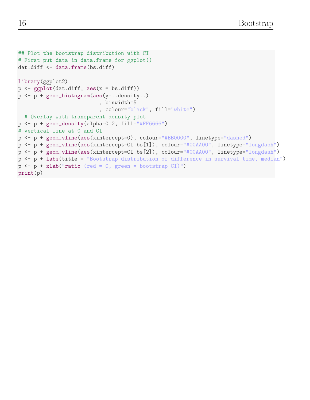```
## Plot the bootstrap distribution with CI
# First put data in data.frame for ggplot()
dat.diff <- data.frame(bs.diff)
library(ggplot2)
p \leftarrow ggplot(dat.diff, aes(x = bs.diff))
p <- p + geom_histogram(aes(y=..density..)
                            , binwidth=5
                            , colour="black", fill="white")
  # Overlay with transparent density plot
p \leftarrow p + geom\_density(alpha=0.2, fill='#FF6666")# vertical line at 0 and CI
p <- p + geom_vline(aes(xintercept=0), colour="#BB0000", linetype="dashed")
p <- p + geom_vline(aes(xintercept=CI.bs[1]), colour="#00AA00", linetype="longdash")
p <- p + geom_vline(aes(xintercept=CI.bs[2]), colour="#00AA00", linetype="longdash")
p <- p + labs(title = "Bootstrap distribution of difference in survival time, median")
p \leftarrow p + x \cdot \text{lab("ratio (red = 0, green = bootstrap CI)"})print(p)
```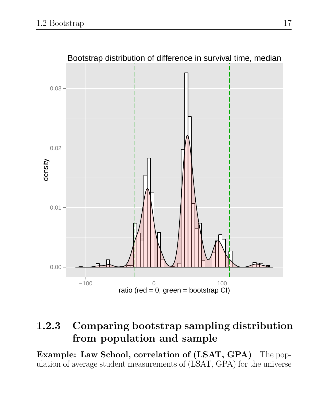

# 1.2.3 Comparing bootstrap sampling distribution from population and sample

Example: Law School, correlation of (LSAT, GPA) The population of average student measurements of (LSAT, GPA) for the universe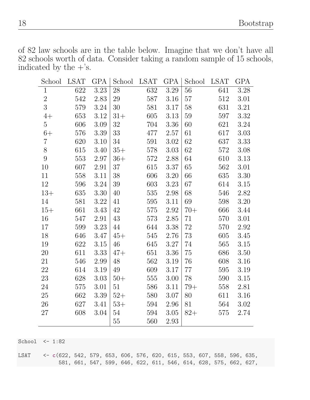of 82 law schools are in the table below. Imagine that we don't have all 82 schools worth of data. Consider taking a random sample of 15 schools, indicated by the  $+$ 's.

| School         | <b>LSAT</b> | GPA      | School | <b>LSAT</b> | GPA  | School | <b>LSAT</b> | GPA      |
|----------------|-------------|----------|--------|-------------|------|--------|-------------|----------|
| $\mathbf{1}$   | 622         | 3.23     | 28     | 632         | 3.29 | 56     | 641         | 3.28     |
| $\sqrt{2}$     | 542         | 2.83     | 29     | 587         | 3.16 | 57     | 512         | 3.01     |
| $\overline{3}$ | 579         | 3.24     | 30     | 581         | 3.17 | 58     | 631         | 3.21     |
| $4+$           | 653         | 3.12     | $31+$  | 605         | 3.13 | 59     | 597         | 3.32     |
| $\mathbf 5$    | 606         | 3.09     | 32     | 704         | 3.36 | 60     | 621         | 3.24     |
| $6+$           | 576         | 3.39     | 33     | 477         | 2.57 | 61     | 617         | 3.03     |
| $\overline{7}$ | 620         | 3.10     | $34\,$ | 591         | 3.02 | 62     | 637         | 3.33     |
| $8\,$          | 615         | 3.40     | $35+$  | 578         | 3.03 | 62     | 572         | 3.08     |
| $9\phantom{.}$ | 553         | 2.97     | $36+$  | 572         | 2.88 | 64     | 610         | 3.13     |
| 10             | 607         | 2.91     | 37     | 615         | 3.37 | 65     | 562         | 3.01     |
| 11             | 558         | 3.11     | 38     | 606         | 3.20 | 66     | 635         | 3.30     |
| 12             | 596         | 3.24     | 39     | 603         | 3.23 | 67     | 614         | 3.15     |
| $13+$          | 635         | 3.30     | 40     | 535         | 2.98 | 68     | 546         | 2.82     |
| 14             | 581         | $3.22\,$ | 41     | 595         | 3.11 | 69     | 598         | $3.20\,$ |
| $15+$          | 661         | 3.43     | 42     | 575         | 2.92 | $70+$  | 666         | 3.44     |
| 16             | 547         | 2.91     | 43     | 573         | 2.85 | 71     | 570         | 3.01     |
| 17             | 599         | 3.23     | 44     | 644         | 3.38 | 72     | 570         | $2.92\,$ |
| 18             | 646         | 3.47     | $45+$  | 545         | 2.76 | 73     | 605         | 3.45     |
| 19             | 622         | 3.15     | 46     | 645         | 3.27 | 74     | 565         | 3.15     |
| 20             | 611         | 3.33     | $47+$  | 651         | 3.36 | 75     | 686         | 3.50     |
| 21             | 546         | 2.99     | 48     | 562         | 3.19 | 76     | 608         | 3.16     |
| 22             | 614         | 3.19     | 49     | 609         | 3.17 | 77     | 595         | 3.19     |
| 23             | 628         | 3.03     | $50+$  | 555         | 3.00 | 78     | 590         | 3.15     |
| 24             | 575         | 3.01     | 51     | 586         | 3.11 | $79+$  | 558         | 2.81     |
| 25             | 662         | 3.39     | $52+$  | 580         | 3.07 | 80     | 611         | 3.16     |
| 26             | 627         | 3.41     | $53+$  | 594         | 2.96 | 81     | 564         | 3.02     |
| 27             | 608         | 3.04     | 54     | 594         | 3.05 | $82+$  | 575         | 2.74     |
|                |             |          | 55     | 560         | 2.93 |        |             |          |

School <- 1:82

LSAT <- c(622, 542, 579, 653, 606, 576, 620, 615, 553, 607, 558, 596, 635, 581, 661, 547, 599, 646, 622, 611, 546, 614, 628, 575, 662, 627,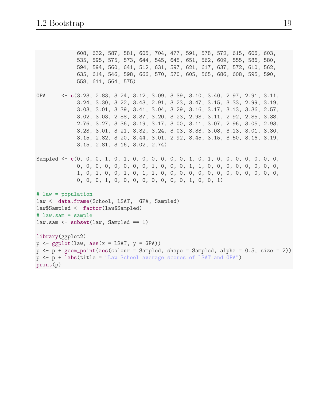608, 632, 587, 581, 605, 704, 477, 591, 578, 572, 615, 606, 603, 535, 595, 575, 573, 644, 545, 645, 651, 562, 609, 555, 586, 580, 594, 594, 560, 641, 512, 631, 597, 621, 617, 637, 572, 610, 562, 635, 614, 546, 598, 666, 570, 570, 605, 565, 686, 608, 595, 590, 558, 611, 564, 575) GPA <- c(3.23, 2.83, 3.24, 3.12, 3.09, 3.39, 3.10, 3.40, 2.97, 2.91, 3.11, 3.24, 3.30, 3.22, 3.43, 2.91, 3.23, 3.47, 3.15, 3.33, 2.99, 3.19, 3.03, 3.01, 3.39, 3.41, 3.04, 3.29, 3.16, 3.17, 3.13, 3.36, 2.57, 3.02, 3.03, 2.88, 3.37, 3.20, 3.23, 2.98, 3.11, 2.92, 2.85, 3.38, 2.76, 3.27, 3.36, 3.19, 3.17, 3.00, 3.11, 3.07, 2.96, 3.05, 2.93, 3.28, 3.01, 3.21, 3.32, 3.24, 3.03, 3.33, 3.08, 3.13, 3.01, 3.30, 3.15, 2.82, 3.20, 3.44, 3.01, 2.92, 3.45, 3.15, 3.50, 3.16, 3.19, 3.15, 2.81, 3.16, 3.02, 2.74) Sampled <- c(0, 0, 0, 1, 0, 1, 0, 0, 0, 0, 0, 1, 0, 1, 0, 0, 0, 0, 0, 0, 0, 0, 0, 0, 0, 0, 0, 0, 0, 0, 0, 1, 0, 0, 0, 1, 1, 0, 0, 0, 0, 0, 0, 0, 0, 1, 0, 1, 0, 0, 1, 0, 1, 1, 0, 0, 0, 0, 0, 0, 0, 0, 0, 0, 0, 0, 0, 0, 0, 0, 1, 0, 0, 0, 0, 0, 0, 0, 0, 1, 0, 0, 1) # law = population law <- data.frame(School, LSAT, GPA, Sampled) law\$Sampled <- factor(law\$Sampled) # law.sam = sample  $law.sum < - subset(law, Sample = 1)$ library(ggplot2)  $p \leftarrow$  ggplot(law,  $\text{aes}(x = \text{LSAT}, y = \text{GPA})$ )  $p \leftarrow p + geom\_point(aes(colour = Sample, shape = Sample, alpha = 0.5, size = 2))$ p <- p + labs(title = "Law School average scores of LSAT and GPA") print(p)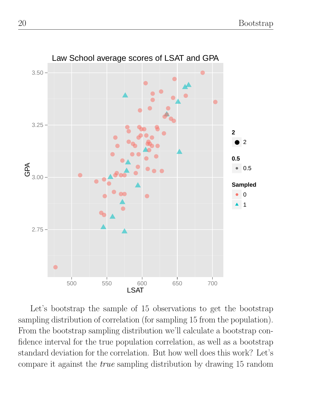

Let's bootstrap the sample of 15 observations to get the bootstrap sampling distribution of correlation (for sampling 15 from the population). From the bootstrap sampling distribution we'll calculate a bootstrap confidence interval for the true population correlation, as well as a bootstrap standard deviation for the correlation. But how well does this work? Let's compare it against the true sampling distribution by drawing 15 random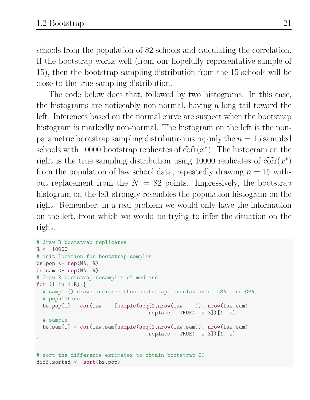schools from the population of 82 schools and calculating the correlation. If the bootstrap works well (from our hopefully representative sample of 15), then the bootstrap sampling distribution from the 15 schools will be close to the true sampling distribution.

The code below does that, followed by two histograms. In this case, the histograms are noticeably non-normal, having a long tail toward the left. Inferences based on the normal curve are suspect when the bootstrap histogram is markedly non-normal. The histogram on the left is the nonparametric bootstrap sampling distribution using only the  $n = 15$  sampled schools with 10000 bootstrap replicates of  $\widehat{\text{corr}}(x^*)$ . The histogram on the<br>right is the two compling distribution using 10000 replies to a  $\widehat{\text{corr}}(x^*)$ . right is the true sampling distribution using 10000 replicates of  $\widehat{\text{corr}}(x^*)$ <br>from the population of law school data, repeatedly drawing  $x = 15$  with from the population of law school data, repeatedly drawing  $n = 15$  without replacement from the  $N = 82$  points. Impressively, the bootstrap histogram on the left strongly resembles the population histogram on the right. Remember, in a real problem we would only have the information on the left, from which we would be trying to infer the situation on the right.

```
# draw R bootstrap replicates
R <- 10000
# init location for bootstrap samples
bs.pop \leq rep(NA, R)
bs.sam \leq rep(NA, R)
# draw R bootstrap resamples of medians
for (i in 1:R) \{# sample() draws indicies then bootstrap correlation of LSAT and GPA
 # population
 bs.pop[i] = cor(law [sample(seq(1,nrow(law )), nrow(law.sam)
                                  , replace = TRUE), 2:3])[1, 2]
 # sample
 bs.sam[i] = cor(law.sam[sample(seq(1,nrow(law.sam)), nrow(law.sam)), replace = TRUE), 2:3])[1, 2]
}
# sort the difference estimates to obtain bootstrap CI
diff.sorted <- sort(bs.pop)
```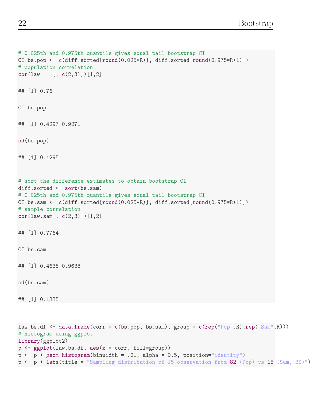```
# 0.025th and 0.975th quantile gives equal-tail bootstrap CI
CI.bs.pop <- c(diff.sorted[round(0.025*R)], diff.sorted[round(0.975*R+1)])
# population correlation
cor(law [, c(2,3)]][1,2]
## [1] 0.76
CI.bs.pop
## [1] 0.4297 0.9271
sd(bs.pop)
## [1] 0.1295
# sort the difference estimates to obtain bootstrap CI
diff.sorted <- sort(bs.sam)
# 0.025th and 0.975th quantile gives equal-tail bootstrap CI
CI.bs.sam <- c(diff.sorted[round(0.025*R)], diff.sorted[round(0.975*R+1)])
# sample correlation
cor(law.sam[, c(2,3)])[1,2]
## [1] 0.7764
CI.bs.sam
## [1] 0.4638 0.9638
sd(bs.sam)
## [1] 0.1335
law.bs.df \leq data.frame(corr = c(bs.pop, bs.sam), group = c(rep("Pop",R),rep("Sam",R)))
# histogram using ggplot
library(ggplot2)
p \leftarrow \text{ggplot}(\text{law}.\text{bs}.df, \text{aes}(x = corr, fill=group))p \leftarrow p + \text{geom\_histogram(binwidth = .01, alpha = 0.5, position="identity")}p \leftarrow p + \text{ labs}(\text{title} = \text{``Sampling distribution of 15 observation from 82 (Pop) vs 15 (Sam, BS)''})
```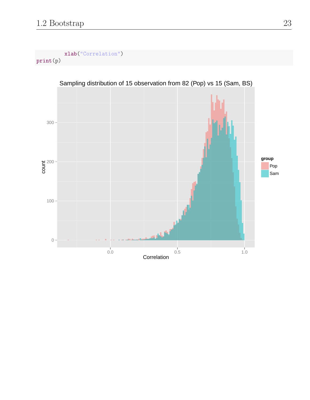xlab("Correlation") print(p)

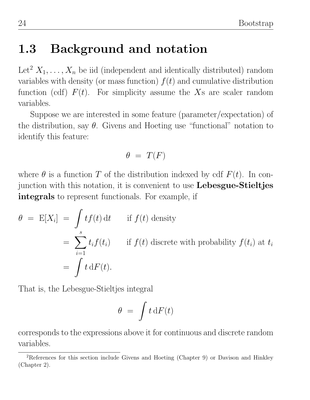# 1.3 Background and notation

Let<sup>2</sup>  $X_1, \ldots, X_n$  be iid (independent and identically distributed) random variables with density (or mass function)  $f(t)$  and cumulative distribution function (cdf)  $F(t)$ . For simplicity assume the Xs are scaler random variables.

Suppose we are interested in some feature (parameter/expectation) of the distribution, say  $\theta$ . Givens and Hoeting use "functional" notation to identify this feature:

$$
\theta\ =\ T(F)
$$

where  $\theta$  is a function T of the distribution indexed by cdf  $F(t)$ . In conjunction with this notation, it is convenient to use Lebesgue-Stieltjes integrals to represent functionals. For example, if

$$
\theta = \mathbb{E}[X_i] = \int t f(t) dt \quad \text{if } f(t) \text{ density}
$$
  
= 
$$
\sum_{i=1}^s t_i f(t_i) \quad \text{if } f(t) \text{ discrete with probability } f(t_i) \text{ at } t_i
$$
  
= 
$$
\int t dF(t).
$$

That is, the Lebesgue-Stieltjes integral

$$
\theta\ =\ \int t\,\mathrm{d}F(t)
$$

corresponds to the expressions above it for continuous and discrete random variables.

<sup>2</sup>References for this section include Givens and Hoeting (Chapter 9) or Davison and Hinkley (Chapter 2).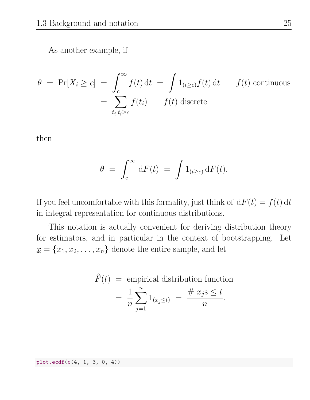As another example, if

$$
\theta = \Pr[X_i \ge c] = \int_c^{\infty} f(t) dt = \int 1_{(t \ge c)} f(t) dt \qquad f(t) \text{ continuous}
$$

$$
= \sum_{t_i: t_i \ge c} f(t_i) \qquad f(t) \text{ discrete}
$$

then

$$
\theta\ =\ \int_c^\infty\, \mathrm{d} F(t)\ =\ \int 1_{(t\geq c)}\, \mathrm{d} F(t).
$$

If you feel uncomfortable with this formality, just think of  $dF(t) = f(t) dt$ in integral representation for continuous distributions.

This notation is actually convenient for deriving distribution theory for estimators, and in particular in the context of bootstrapping. Let  $x = \{x_1, x_2, \ldots, x_n\}$  denote the entire sample, and let

$$
\hat{F}(t) = \text{empirical distribution function}
$$
\n
$$
= \frac{1}{n} \sum_{j=1}^{n} 1_{(x_j \le t)} = \frac{\# \ x_j \le t}{n}.
$$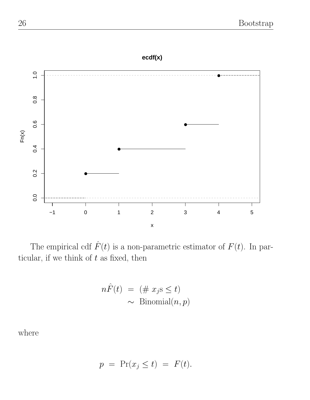**ecdf(x)**



The empirical cdf  $\hat{F}(t)$  is a non-parametric estimator of  $F(t)$ . In particular, if we think of  $t$  as fixed, then

$$
n\hat{F}(t) = (\# x_j s \le t)
$$
  
 
$$
\sim \text{Binomial}(n, p)
$$

where

$$
p = \Pr(x_j \le t) = F(t).
$$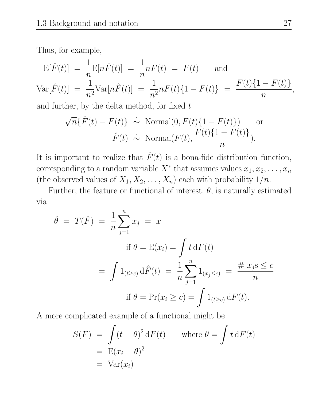Thus, for example,

$$
\mathcal{E}[\hat{F}(t)] = \frac{1}{n} \mathcal{E}[n\hat{F}(t)] = \frac{1}{n} nF(t) = F(t) \text{ and}
$$
  
\n
$$
\text{Var}[\hat{F}(t)] = \frac{1}{n^2} \text{Var}[n\hat{F}(t)] = \frac{1}{n^2} nF(t)\{1 - F(t)\} = \frac{F(t)\{1 - F(t)\}}{n},
$$

and further, by the delta method, for fixed  $t$ 

$$
\sqrt{n}\{\hat{F}(t) - F(t)\} \sim \text{Normal}(0, F(t)\{1 - F(t)\}) \quad \text{or}
$$

$$
\hat{F}(t) \sim \text{Normal}(F(t), \frac{F(t)\{1 - F(t)\}}{n}).
$$

It is important to realize that  $\hat{F}(t)$  is a bona-fide distribution function, corresponding to a random variable  $X^*$  that assumes values  $x_1, x_2, \ldots, x_n$ (the observed values of  $X_1, X_2, \ldots, X_n$ ) each with probability  $1/n$ .

Further, the feature or functional of interest,  $\theta$ , is naturally estimated via

$$
\hat{\theta} = T(\hat{F}) = \frac{1}{n} \sum_{j=1}^{n} x_j = \bar{x}
$$
  
\nif  $\theta = E(x_i) = \int t \, dF(t)$   
\n
$$
= \int 1_{(t \ge c)} \, d\hat{F}(t) = \frac{1}{n} \sum_{j=1}^{n} 1_{(x_j \le c)} = \frac{\# x_j s \le c}{n}
$$
  
\nif  $\theta = \Pr(x_i \ge c) = \int 1_{(t \ge c)} \, dF(t)$ .

A more complicated example of a functional might be

$$
S(F) = \int (t - \theta)^2 dF(t) \quad \text{where } \theta = \int t dF(t)
$$
  
=  $E(x_i - \theta)^2$   
=  $Var(x_i)$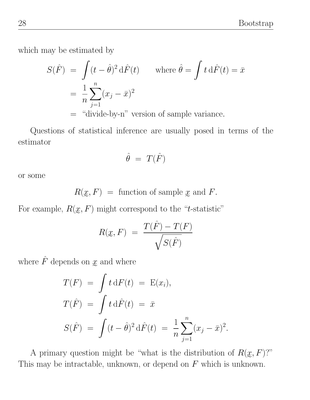which may be estimated by

$$
S(\hat{F}) = \int (t - \hat{\theta})^2 d\hat{F}(t) \quad \text{where } \hat{\theta} = \int t d\hat{F}(t) = \bar{x}
$$

$$
= \frac{1}{n} \sum_{j=1}^{n} (x_j - \bar{x})^2
$$

$$
= \text{``divide-by-n'' version of sample variance.}
$$

Questions of statistical inference are usually posed in terms of the estimator

$$
\hat{\theta}~=~T(\hat{F})
$$

or some

$$
R(\underline{x}, F) =
$$
 function of sample  $\underline{x}$  and  $F$ .

For example,  $R(\mathfrak{X}, F)$  might correspond to the "t-statistic"

$$
R(\underline{x}, F) = \frac{T(\hat{F}) - T(F)}{\sqrt{S(\hat{F})}}
$$

where  $\hat{F}$  depends on  $\underline{x}$  and where

$$
T(F) = \int t \, \mathrm{d}F(t) = E(x_i),
$$
  
\n
$$
T(\hat{F}) = \int t \, \mathrm{d}\hat{F}(t) = \bar{x}
$$
  
\n
$$
S(\hat{F}) = \int (t - \hat{\theta})^2 \, \mathrm{d}\hat{F}(t) = \frac{1}{n} \sum_{j=1}^n (x_j - \bar{x})^2.
$$

A primary question might be "what is the distribution of  $R(\mathfrak{L}, F)$ ?" This may be intractable, unknown, or depend on  $F$  which is unknown.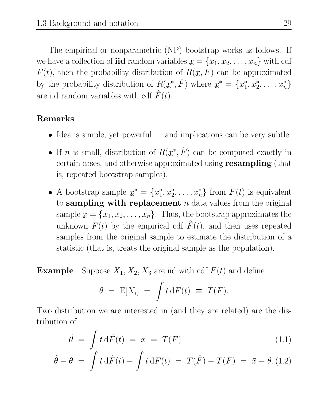The empirical or nonparametric (NP) bootstrap works as follows. If we have a collection of **iid** random variables  $x = \{x_1, x_2, \ldots, x_n\}$  with cdf  $F(t)$ , then the probability distribution of  $R(x, F)$  can be approximated by the probability distribution of  $R(\underline{x}^*, \hat{F})$  where  $\underline{x}^* = \{x_1^* \}$ are iid random variables with cdf  $\hat{F}(t)$ .  $x_1^*, x_2^*, \ldots, x_n^*$ 

#### Remarks

- $\bullet$  Idea is simple, yet powerful and implications can be very subtle.
- If *n* is small, distribution of  $R(\underline{x}^*, \hat{F})$  can be computed exactly in certain cases, and otherwise approximated using **resampling** (that is, repeated bootstrap samples).
- A bootstrap sample  $x^* = \{x_1^*\}$ to sampling with replacement  $n$  data values from the original  $x_1^*, x_2^*, \ldots, x_n^*$  from  $\hat{F}(t)$  is equivalent sample  $\underline{x} = \{x_1, x_2, \ldots, x_n\}$ . Thus, the bootstrap approximates the unknown  $F(t)$  by the empirical cdf  $\hat{F}(t)$ , and then uses repeated samples from the original sample to estimate the distribution of a statistic (that is, treats the original sample as the population).

**Example** Suppose  $X_1, X_2, X_3$  are iid with cdf  $F(t)$  and define

$$
\theta = \mathbb{E}[X_i] = \int t \, \mathrm{d}F(t) \equiv T(F).
$$

Two distribution we are interested in (and they are related) are the distribution of

$$
\hat{\theta} = \int t \,\mathrm{d}\hat{F}(t) = \bar{x} = T(\hat{F}) \tag{1.1}
$$

$$
\hat{\theta} - \theta = \int t \, d\hat{F}(t) - \int t \, dF(t) = T(\hat{F}) - T(F) = \bar{x} - \theta. (1.2)
$$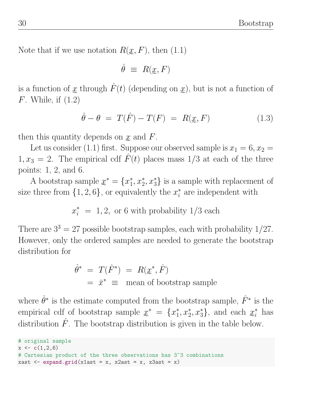Note that if we use notation  $R(\mathfrak{L}, F)$ , then  $(1.1)$ 

$$
\hat{\theta} \ \equiv \ R(\underline{x}, F)
$$

e is a function of  $x$  through  $\hat{F}(t)$  (depending on  $x$ ), but is not a function of  $F$ . While, if  $(1.2)$ 

$$
\hat{\theta} - \theta = T(\hat{F}) - T(F) = R(\underline{x}, F) \tag{1.3}
$$

then this quantity depends on  $x$  and  $F$ .

Let us consider (1.1) first. Suppose our observed sample is  $x_1 = 6, x_2 =$  $1, x_3 = 2$ . The empirical cdf  $\hat{F}(t)$  places mass  $1/3$  at each of the three points: 1, 2, and 6.

A bootstrap sample  $x^* = \{x_1^*\}$ size three from  $\{1, 2, 6\}$ , or equivalently the  $x_i^*$  $x_1^*, x_2^*, x_3^*$  is a sample with replacement of  $i$ <sup>\*</sup> are independent with

 $x_i^* = 1, 2$ , or 6 with probability  $1/3$  each

There are  $3^3 = 27$  possible bootstrap samples, each with probability  $1/27$ . However, only the ordered samples are needed to generate the bootstrap distribution for

$$
\hat{\theta}^* = T(\hat{F}^*) = R(\underline{x}^*, \hat{F})
$$
  
=  $\bar{x}^* \equiv$  mean of bootstrap sample

where  $\hat{\theta}^*$  is the estimate computed from the bootstrap sample,  $\hat{F}^*$  is the empirical cdf of bootstrap sample  $x^* = \{x_1^*\}$ distribution  $\hat{F}$ . The bootstrap distribution is given in the table below.  $x_1^*, x_2^*, x_3^*$ , and each  $x_i^*$  has

```
# original sample
x \leftarrow c(1, 2, 6)# Cartesian product of the three observations has 3^3 combinations
xast \leq expand.grid(x1ast = x, x2ast = x, x3ast = x)
```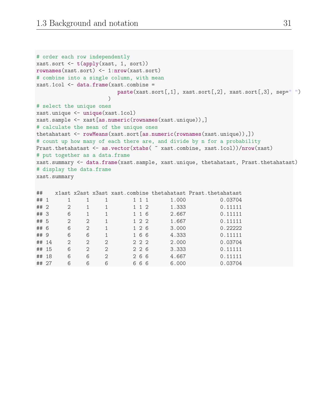```
# order each row independently
xast.sort \leftarrow t(apply(xast, 1, sort))
rownames(xast.sort) <- 1:nrow(xast.sort)
# combine into a single column, with mean
xast.1col <- data.frame(xast.combine =
                          paste(xast.sort[,1], xast.sort[,2], xast.sort[,3], sep=" ")
                       )
# select the unique ones
xast.unique <- unique(xast.1col)
xast.sample <- xast[as.numeric(rownames(xast.unique)),]
# calculate the mean of the unique ones
thetahatast <- rowMeans(xast.sort[as.numeric(rownames(xast.unique)),])
# count up how many of each there are, and divide by n for a probability
Prast.thetahatast <- as.vector(xtabs( \tilde{c} xast.combine, xast.1col))/nrow(xast)
# put together as a data.frame
xast.summary <- data.frame(xast.sample, xast.unique, thetahatast, Prast.thetahatast)
# display the data.frame
xast.summary
```

|                                                                                  |                |                             |  | 1.000 | 0.03704                                                                                                                                        |
|----------------------------------------------------------------------------------|----------------|-----------------------------|--|-------|------------------------------------------------------------------------------------------------------------------------------------------------|
| $\mathcal{D}_{\mathcal{L}}$                                                      |                |                             |  | 1.333 | 0.11111                                                                                                                                        |
| 6                                                                                | 1              |                             |  | 2.667 | 0.11111                                                                                                                                        |
| $\mathfrak{D}$                                                                   | $\mathfrak{D}$ |                             |  | 1.667 | 0.11111                                                                                                                                        |
| 6                                                                                | 2              |                             |  | 3.000 | 0.22222                                                                                                                                        |
| 6                                                                                | 6              |                             |  | 4.333 | 0.11111                                                                                                                                        |
| $\mathfrak{D}$                                                                   | $\mathfrak{D}$ | $\mathcal{D}_{\mathcal{L}}$ |  | 2.000 | 0.03704                                                                                                                                        |
| 6                                                                                | 2              | $\mathcal{D}_{\mathcal{L}}$ |  | 3.333 | 0.11111                                                                                                                                        |
| 6                                                                                | 6              | $\mathcal{D}_{\mathcal{L}}$ |  | 4.667 | 0.11111                                                                                                                                        |
| 6                                                                                | 6              | 6                           |  | 6.000 | 0.03704                                                                                                                                        |
| ## 1<br>## 2<br>## 3<br>## 5<br>## 6<br>## 9<br>## 14<br>## 15<br>## 18<br>## 27 |                |                             |  |       | xlast x2ast x3ast xast.combine thetahatast Prast.thetahatast<br>1 1 1<br>1 1 2<br>1 1 6<br>1 2 2<br>1 2 6<br>166<br>2 2 2<br>226<br>266<br>666 |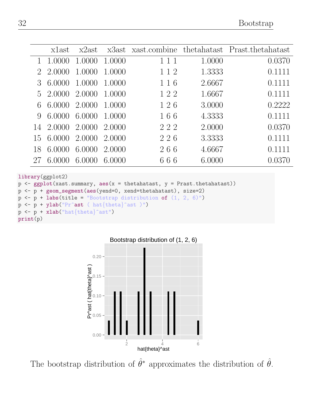|                | xlast  | x2ast  |        |     |        | x3ast xast.combine thetahatast Prast.thetahatast |
|----------------|--------|--------|--------|-----|--------|--------------------------------------------------|
|                | 1.0000 | 1.0000 | 1.0000 | 111 | 1.0000 | 0.0370                                           |
|                | 2.0000 | 1.0000 | 1.0000 | 112 | 1.3333 | 0.1111                                           |
|                | 6.0000 | 1.0000 | 1.0000 | 116 | 2.6667 | 0.1111                                           |
| $\overline{5}$ | 2.0000 | 2.0000 | 1.0000 | 122 | 1.6667 | 0.1111                                           |
| 6              | 6.0000 | 2.0000 | 1.0000 | 126 | 3.0000 | 0.2222                                           |
| 9              | 6.0000 | 6.0000 | 1.0000 | 166 | 4.3333 | 0.1111                                           |
| 14             | 2.0000 | 2.0000 | 2.0000 | 222 | 2.0000 | 0.0370                                           |
| 15             | 6.0000 | 2.0000 | 2.0000 | 226 | 3.3333 | 0.1111                                           |
| 18             | 6.0000 | 6.0000 | 2.0000 | 266 | 4.6667 | 0.1111                                           |
|                | 6.0000 | 6.0000 | 6.0000 | 666 | 6.0000 | 0.0370                                           |

library(ggplot2)

```
p \leftarrow \text{ggplot}(xast.summary, aes(x = thetahatast, y = Prast.thetahatast))p <- p + geom_segment(aes(yend=0, xend=thetahatast), size=2)
p \leftarrow p + \text{ labs}(\text{title} = \text{``Bootstrap distribution of } (1, 2, 6) \text{''})p \leftarrow p + ylab("Pr^ast ( hat{theta}^ast )")
p \leftarrow p + xlab("hat{theta}^s;ast")print(p)
```


The bootstrap distribution of  $\hat{\theta}^*$  approximates the distribution of  $\hat{\theta}$ .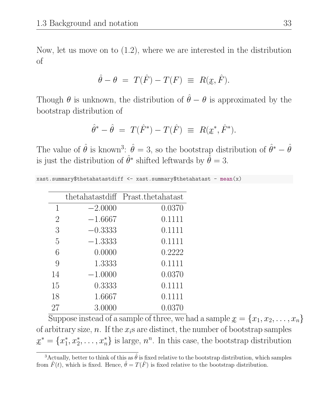Now, let us move on to (1.2), where we are interested in the distribution of

$$
\hat{\theta} - \theta = T(\hat{F}) - T(F) \equiv R(\underline{x}, \hat{F}).
$$

e Though  $\theta$  is unknown, the distribution of  $\hat{\theta} - \theta$  is approximated by the bootstrap distribution of

$$
\hat{\theta}^* - \hat{\theta} = T(\hat{F}^*) - T(\hat{F}) \equiv R(\underline{x}^*, \hat{F}^*).
$$

The value of  $\hat{\theta}$  is known<sup>3</sup>:  $\hat{\theta} = 3$ , so the bootstrap distribution of  $\hat{\theta}^* - \hat{\theta}$ is just the distribution of  $\hat{\theta}^*$  shifted leftwards by  $\hat{\theta} = 3$ .

| xast.summary\$thetahatastdiff <- xast.summary\$thetahatast - mean(x) |  |  |  |  |
|----------------------------------------------------------------------|--|--|--|--|
|----------------------------------------------------------------------|--|--|--|--|

|                |           | thetahatastdiff Prast.thetahatast |
|----------------|-----------|-----------------------------------|
| 1              | $-2.0000$ | 0.0370                            |
| $\overline{2}$ | $-1.6667$ | 0.1111                            |
| 3              | $-0.3333$ | 0.1111                            |
| 5              | $-1.3333$ | 0.1111                            |
| 6              | 0.0000    | 0.2222                            |
| 9              | 1.3333    | 0.1111                            |
| 14             | $-1.0000$ | 0.0370                            |
| 15             | 0.3333    | 0.1111                            |
| 18             | 1.6667    | 0.1111                            |
| 27             | 3.0000    | 0.0370                            |

Suppose instead of a sample of three, we had a sample  $x = \{x_1, x_2, \ldots, x_n\}$ of arbitrary size, n. If the  $x_i$ s are distinct, the number of bootstrap samples  $x^* = \{x_1^*$  $\{x_1^*, x_2^*, \ldots, x_n^*\}$  is large,  $n^n$ . In this case, the bootstrap distribution

e <sup>3</sup>Actually, better to think of this as  $\hat{\theta}$  is fixed relative to the bootstrap distribution, which samples from  $\hat{F}(t)$ , which is fixed. Hence,  $\hat{\theta} = T(\hat{F})$  is fixed relative to the bootstrap distribution.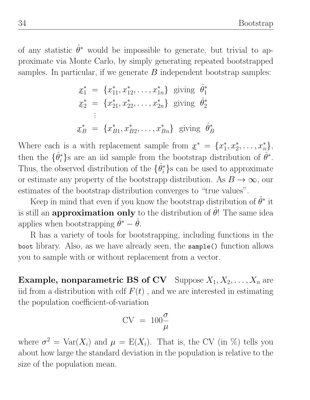of any statistic  $\hat{\theta}^*$  would be impossible to generate, but trivial to approximate via Monte Carlo, by simply generating repeated bootstrapped samples. In particular, if we generate  $B$  independent bootstrap samples:

$$
x_1^* = \{x_{11}^*, x_{12}^*, \dots, x_{1n}^*\} \text{ giving } \hat{\theta}_1^*
$$
  
\n
$$
x_2^* = \{x_{21}^*, x_{22}^*, \dots, x_{2n}^*\} \text{ giving } \hat{\theta}_2^*
$$
  
\n:  
\n
$$
x_B^* = \{x_{B1}^*, x_{B2}^*, \dots, x_{Bn}^*\} \text{ giving } \hat{\theta}_B^*
$$

 $\overline{ }$ Where each is a with replacement sample from  $x^* = \{x_1^*\}$ then the  $\{\hat{\theta}_i^*\}$ s are an iid sample from the bootstr  $x_1^*, x_2^*, \ldots, x_n^* \},$ <sup>\*</sup>/<sub>i</sub>}s are an iid sample from the bootstrap distribution of  $\hat{\theta}^*$ . Thus, the observed distribution of the  $\{\hat{\theta}_i^*\}$  $i$ <sup>\*</sup>}s can be used to approximate or estimate any property of the bootstrapp distribution. As  $B \to \infty$ , our estimates of the bootstrap distribution converges to "true values".

Keep in mind that even if you know the bootstrap distribution of  $\hat{\theta}^*$  it is still an **approximation only** to the distribution of  $\hat{\theta}$ ! The same idea applies when bootstrapping  $\hat{\theta}^* - \hat{\theta}$ .

R has a variety of tools for bootstrapping, including functions in the boot library. Also, as we have already seen, the sample() function allows you to sample with or without replacement from a vector.

**Example, nonparametric BS of CV** Suppose  $X_1, X_2, \ldots, X_n$  are iid from a distribution with cdf  $F(t)$ , and we are interested in estimating the population coefficient-of-variation

$$
CV = 100 \frac{\sigma}{\mu}
$$

where  $\sigma^2 = \text{Var}(X_i)$  and  $\mu = E(X_i)$ . That is, the CV (in %) tells you about how large the standard deviation in the population is relative to the size of the population mean.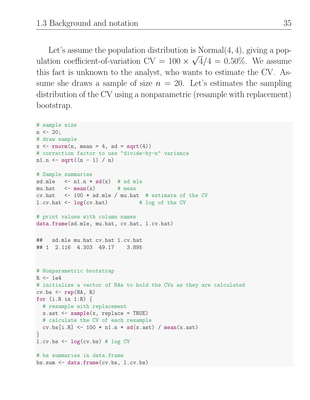Let's assume the population distribution is Normal $(4, 4)$ , giving a population coefficient-of-variation  $CV = 100 \times \sqrt{4}/4 = 0.50\%$ . We assume this fact is unknown to the analyst, who wants to estimate the CV. Assume she draws a sample of size  $n = 20$ . Let's estimates the sampling distribution of the CV using a nonparametric (resample with replacement) bootstrap.

```
# sample size
n \le -20;
# draw sample
x \le rnorm(n, mean = 4, sd = sqrt(4))
# correction factor to use "divide-by-n" variance
n1.n \leq sqrt((n - 1) / n)# Sample summaries
sd.mle \leq n1.n * sd(x) # sd mle
mu.hat \leq mean(x) # mean
cv.hat \le 100 * sd.mle / mu.hat # estimate of the CV
l.cv.hat <- log(cv.hat) # log of the CV
# print values with column names
data.frame(sd.mle, mu.hat, cv.hat, l.cv.hat)
## sd.mle mu.hat cv.hat l.cv.hat
## 1 2.116 4.303 49.17 3.895
# Nonparametric bootstrap
R \leftarrow 1e4# initialize a vector of NAs to hold the CVs as they are calculated
cv.bs \leq rep(NA, R)
for (i.R in 1:R) {
 # resample with replacement
 x.ast <- sample(x, replace = TRUE)
 # calculate the CV of each resample
  cv.bs[i.R] < -100 * n1.n * sd(x.ast) / mean(x.ast)}
l.cv.bs \leftarrow log(cv.bs) # log CV# bs summaries in data.frame
bs.sum <- data.frame(cv.bs, l.cv.bs)
```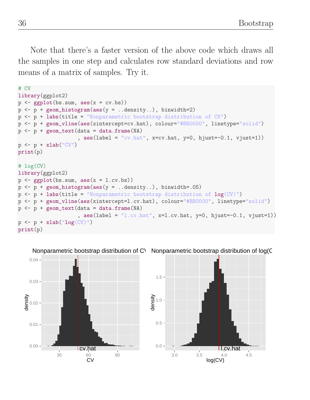Note that there's a faster version of the above code which draws all the samples in one step and calculates row standard deviations and row means of a matrix of samples. Try it.

```
# CV
library(ggplot2)
p \leftarrow \text{gplot}(bs.sum, \text{aes}(x = cv.bs))p \leftarrow p + \text{geom\_histogram}(aes(y = ... density...), binwidth=2)p <- p + labs(title = "Nonparametric bootstrap distribution of CV")
p <- p + geom_vline(aes(xintercept=cv.hat), colour="#BB0000", linetype="solid")
p \leftarrow p + \text{geom\_text}(data = data.frame(MA))a = s(\text{label} = "cv.\text{hat", } x = cv.\text{hat, } y = 0, \text{hjust} = -0.1, \text{vjust} = 1)p \leftarrow p + xlab("CV")print(p)
# log(CV)
library(ggplot2)
p \leftarrow \text{gplot}(bs.sum, aes(x = 1.cv.bs))p \leq p + \text{geom\_histogram}(aes(y = ... density...), binwidth=.05)p \leftarrow p + \text{ labs}(\text{title} = \text{``Nonparametric bootstrap distribution of } \log(\text{CV})\text{''})p <- p + geom_vline(aes(xintercept=l.cv.hat), colour="#BB0000", linetype="solid")
p \leq p + \text{geom\_text(data} = \text{data-frame}(\text{NA}), \text{aes}(\text{label} = "1.cv.\text{hat", } x=1.cv.\text{hat, } y=0, \text{hjust}=-0.1, \text{vjust}=1))p \leftarrow p + x \text{lab("log(CV))")}print(p)
```


Nonparametric bootstrap distribution of C\ Nonparametric bootstrap distribution of log(C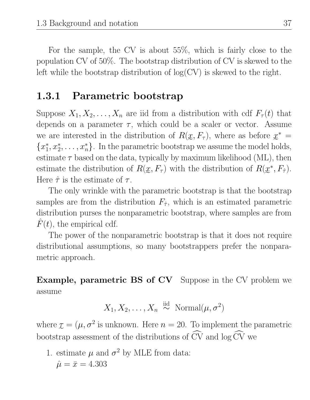For the sample, the CV is about 55%, which is fairly close to the population CV of 50%. The bootstrap distribution of CV is skewed to the left while the bootstrap distribution of  $log(CV)$  is skewed to the right.

#### 1.3.1 Parametric bootstrap

Suppose  $X_1, X_2, \ldots, X_n$  are iid from a distribution with cdf  $F_\tau(t)$  that depends on a parameter  $\tau$ , which could be a scaler or vector. Assume we are interested in the distribution of  $R(x, F_\tau)$ , where as before  $x^* =$  ${x_1^*, x_2^*, \ldots, x_n^*}$ . In the parametric bootstrap we assume the model ho  $x_1^*, x_2^*, \ldots, x_n^*$ . In the parametric bootstrap we assume the model holds, estimate  $\tau$  based on the data, typically by maximum likelihood (ML), then estimate the distribution of  $R(\mathfrak{L}, F_{\tau})$  with the distribution of  $R(\mathfrak{L}^*, F_{\hat{\tau}})$ . Here  $\hat{\tau}$  is the estimate of  $\tau$ .

The only wrinkle with the parametric bootstrap is that the bootstrap samples are from the distribution  $F_{\hat{\tau}}$ , which is an estimated parametric distribution purses the nonparametric bootstrap, where samples are from  $F(t)$ , the empirical cdf.

The power of the nonparametric bootstrap is that it does not require distributional assumptions, so many bootstrappers prefer the nonparametric approach.

Example, parametric BS of CV Suppose in the CV problem we assume

$$
X_1, X_2, \ldots, X_n \overset{\text{iid}}{\sim} \text{Normal}(\mu, \sigma^2)
$$

where  $\tau = (\mu, \sigma^2)$  is unknown. Here  $n = 20$ . To implement the parametric bootstrap assessment of the distributions of  $CV$  and  $log CV$  we

1. estimate  $\mu$  and  $\sigma^2$  by MLE from data:  $\hat{\mu} = \bar{x} = 4.303$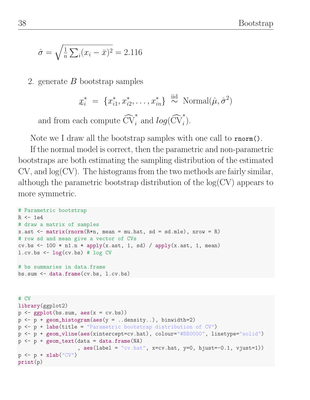$$
\hat{\sigma} = \sqrt{\frac{1}{n} \sum_{i} (x_i - \bar{x})^2} = 2.116
$$

2. generate  $B$  bootstrap samples

$$
\mathbf{x}_{i}^{*} = \{x_{i1}^{*}, x_{i2}^{*}, \ldots, x_{in}^{*}\} \overset{\text{iid}}{\sim} \text{Normal}(\hat{\mu}, \hat{\sigma}^{2})
$$

and from each compute  $\widehat{\text{CV}}_i^*$  and  $log(\widehat{\text{CV}}_i^*)$ .

Note we I draw all the bootstrap samples with one call to rnorm().

If the normal model is correct, then the parametric and non-parametric bootstraps are both estimating the sampling distribution of the estimated  $CV$ , and  $log(CV)$ . The histograms from the two methods are fairly similar, although the parametric bootstrap distribution of the  $log(CV)$  appears to more symmetric.

```
# Parametric bootstrap
R \leftarrow 1e4# draw a matrix of samples
x.ast \leq matrix(rnorm(R*n, mean = mu.hat, sd = sd.mle), nrow = R)
# row sd and mean give a vector of CVs
cv.bs \leq 100 * n1.n * apply(x.ast, 1, sd) / apply(x.ast, 1, mean)
l.cv.bs \leftarrow log(cv.bs) \# log CV# bs summaries in data.frame
bs.sum <- data.frame(cv.bs, l.cv.bs)
```

```
# CV
library(ggplot2)
p \leftarrow \text{gplot}(bs.sum, \text{aes}(x = cv.bs))p \leftarrow p + \text{geom\_histogram}(aes(y = ... density...), binwidth=2)p <- p + labs(title = "Parametric bootstrap distribution of CV")
p <- p + geom_vline(aes(xintercept=cv.hat), colour="#BB0000", linetype="solid")
p \leftarrow p + \text{geom\_text(data = data-frame(MA)}, aes(label = "cv.hat", x=cv.hat, y=0, hjust=-0.1, vjust=1))p \leftarrow p + xlab("CV")print(p)
```